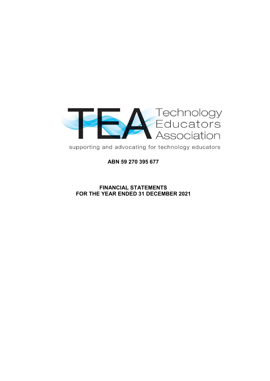

supporting and advocating for technology educators

**ABN 59 270 395 677**

# **FINANCIAL STATEMENTS FOR THE YEAR ENDED 31 DECEMBER 2021**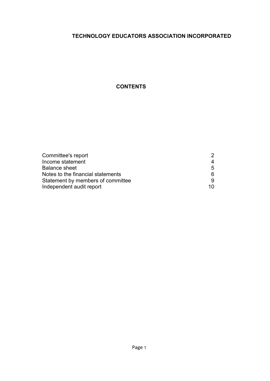# **CONTENTS**

| Committee's report                |    |
|-----------------------------------|----|
| Income statement                  |    |
| <b>Balance sheet</b>              | 5  |
| Notes to the financial statements |    |
| Statement by members of committee |    |
| Independent audit report          | 10 |
|                                   |    |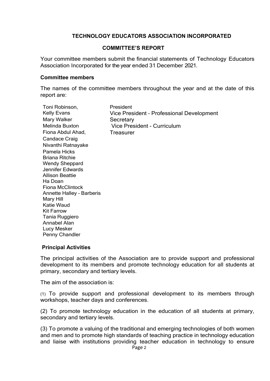## COMMITTEF'S REPORT

Your committee members submit the financial statements of Technology Educators Association Incorporated for the year ended 31 December 2021.

#### **Committee members**

The names of the committee members throughout the year and at the date of this report are:

| Toni Robinson,                   | President                                 |
|----------------------------------|-------------------------------------------|
| <b>Kelly Evans</b>               | Vice President - Professional Development |
| Mary Walker                      | Secretary                                 |
| <b>Melinda Buxton</b>            | Vice President - Curriculum               |
| Fiona Abdul Ahad,                | Treasurer                                 |
| Candace Craig                    |                                           |
| Nivanthi Ratnayake               |                                           |
| Pamela Hicks                     |                                           |
| <b>Briana Ritchie</b>            |                                           |
| <b>Wendy Sheppard</b>            |                                           |
| Jennifer Edwards                 |                                           |
| <b>Allison Beattie</b>           |                                           |
| Ha Doan                          |                                           |
| <b>Fiona McClintock</b>          |                                           |
| <b>Annette Halley - Barberis</b> |                                           |
| Mary Hill                        |                                           |
| Katie Waud                       |                                           |
| <b>Kit Farrow</b>                |                                           |
| Tania Ruggiero                   |                                           |
| Annabel Alan                     |                                           |
| Lucy Mesker                      |                                           |
| Penny Chandler                   |                                           |

## **Principal Activities**

The principal activities of the Association are to provide support and professional development to its members and promote technology education for all students at primary, secondary and tertiary levels.

The aim of the association is:

(1) To provide support and professional development to its members through workshops, teacher days and conferences.

(2) To promote technology education in the education of all students at primary, secondary and tertiary levels.

(3) To promote a valuing of the traditional and emerging technologies of both women and men and to promote high standards of teaching practice in technology education and liaise with institutions providing teacher education in technology to ensure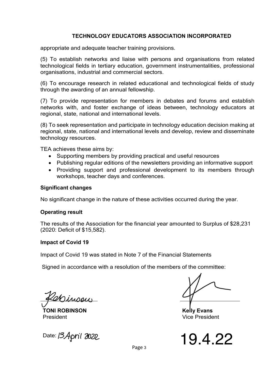appropriate and adequate teacher training provisions.

(5) To establish networks and liaise with persons and organisations from related technological fields in tertiary education, government instrumentalities, professional organisations, industrial and commercial sectors.

(6) To encourage research in related educational and technological fields of study through the awarding of an annual fellowship.

(7) To provide representation for members in debates and forums and establish networks with, and foster exchange of ideas between, technology educators at regional, state, national and international levels.

(8) To seek representation and participate in technology education decision making at regional, state, national and international levels and develop, review and disseminate technology resources.

TEA achieves these aims by:

- Supporting members by providing practical and useful resources
- Publishing regular editions of the newsletters providing an informative support
- Providing support and professional development to its members through workshops, teacher days and conferences.

# **Significant changes**

No significant change in the nature of these activities occurred during the year.

## **Operating result**

The results of the Association for the financial year amounted to Surplus of \$28,231 (2020: Deficit of \$15,582).

## **Impact of Covid 19**

Impact of Covid 19 was stated in Note 7 of the Financial Statements

Signed in accordance with a resolution of the members of the committee:

Minson

**TONI ROBINSON Kelly Evans** President Vice President

Date: 13April 2022



Page 3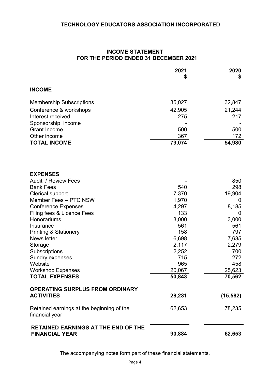# **INCOME STATEMENT FOR THE PERIOD ENDED 31 DECEMBER 2021**

|                                                                     | 2021<br>\$   | 2020<br>\$ |
|---------------------------------------------------------------------|--------------|------------|
| <b>INCOME</b>                                                       |              |            |
|                                                                     |              |            |
| <b>Membership Subscriptions</b>                                     | 35,027       | 32,847     |
| Conference & workshops                                              | 42,905       | 21,244     |
| Interest received                                                   | 275          | 217        |
| Sponsorship income                                                  |              |            |
| <b>Grant Income</b>                                                 | 500          | 500        |
| Other income                                                        | 367          | 172        |
| <b>TOTAL INCOME</b>                                                 | 79,074       | 54,980     |
|                                                                     |              |            |
| <b>EXPENSES</b>                                                     |              |            |
| Audit / Review Fees                                                 |              | 850        |
| <b>Bank Fees</b>                                                    | 540          | 298        |
| Clerical support                                                    | 7.370        | 19,904     |
| Member Fees - PTC NSW                                               | 1,970        | O          |
| <b>Conference Expenses</b><br>Filing fees & Licence Fees            | 4,297<br>133 | 8,185<br>0 |
| Honorariums                                                         | 3,000        | 3,000      |
| Insurance                                                           | 561          | 561        |
| <b>Printing &amp; Stationery</b>                                    | 158          | 797        |
| News letter                                                         | 6,698        | 7,635      |
| Storage                                                             | 2,117        | 2,279      |
| Subscriptions                                                       | 2,252        | 700        |
| Sundry expenses                                                     | 715          | 272        |
| Website                                                             | 965          | 458        |
| <b>Workshop Expenses</b>                                            | 20,067       | 25,623     |
| <b>TOTAL EXPENSES</b>                                               | 50,843       | 70,562     |
| <b>OPERATING SURPLUS FROM ORDINARY</b>                              |              |            |
| <b>ACTIVITIES</b>                                                   | 28,231       | (15, 582)  |
| Retained earnings at the beginning of the<br>financial year         | 62,653       | 78,235     |
| <b>RETAINED EARNINGS AT THE END OF THE</b><br><b>FINANCIAL YEAR</b> | 90,884       | 62,653     |
|                                                                     |              |            |

The accompanying notes form part of these financial statements.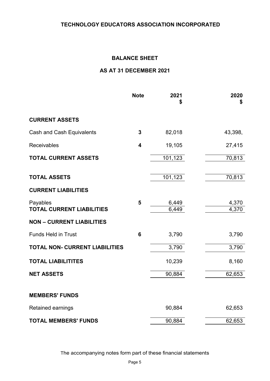# **BALANCE SHEET**

# **AS AT 31 DECEMBER 2021**

|                                              | <b>Note</b>             | 2021<br>\$     | 2020<br>\$     |
|----------------------------------------------|-------------------------|----------------|----------------|
| <b>CURRENT ASSETS</b>                        |                         |                |                |
| Cash and Cash Equivalents                    | 3                       | 82,018         | 43,398,        |
| <b>Receivables</b>                           | $\overline{\mathbf{4}}$ | 19,105         | 27,415         |
| <b>TOTAL CURRENT ASSETS</b>                  |                         | 101,123        | 70,813         |
| <b>TOTAL ASSETS</b>                          |                         | 101,123        | 70,813         |
| <b>CURRENT LIABILITIES</b>                   |                         |                |                |
| Payables<br><b>TOTAL CURRENT LIABILITIES</b> | 5                       | 6,449<br>6,449 | 4,370<br>4,370 |
| <b>NON - CURRENT LIABILITIES</b>             |                         |                |                |
| <b>Funds Held in Trust</b>                   | 6                       | 3,790          | 3,790          |
| <b>TOTAL NON- CURRENT LIABILITIES</b>        |                         | 3,790          | 3,790          |
| <b>TOTAL LIABILITITES</b>                    |                         | 10,239         | 8,160          |
| <b>NET ASSETS</b>                            |                         | 90,884         | 62,653         |
| <b>MEMBERS' FUNDS</b>                        |                         |                |                |
| Retained earnings                            |                         | 90,884         | 62,653         |
| <b>TOTAL MEMBERS' FUNDS</b>                  |                         | 90,884         | 62,653         |

The accompanying notes form part of these financial statements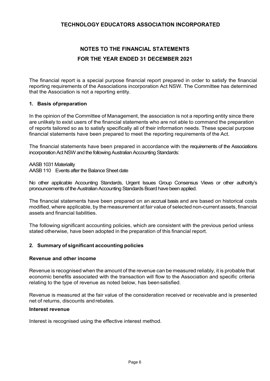# **NOTES TO THE FINANCIAL STATEMENTS FOR THE YEAR ENDED 31 DECEMBER 2021**

The financial report is a special purpose financial report prepared in order to satisfy the financial reporting requirements of the Associations incorporation Act NSW. The Committee has determined that the Association is not a reporting entity.

#### **1. Basis ofpreparation**

In the opinion of the Committee of Management, the association is not a reporting entity since there are unlikely to exist users of the financial statements who are not able to command the preparation of reports tailored so as to satisfy specifically all of their information needs. These special purpose financial statements have been prepared to meet the reporting requirements of the Act.

The financial statements have been prepared in accordance with the requirements of the Associations incorporation Act NSW and the following Australian Accounting Standards:

AASB 1031 Materiality AASB 110 Events after the Balance Sheet date

No other applicable Accounting Standards, Urgent Issues Group Consensus Views or other authority's pronouncements of the Australian Accounting Standards Board have been applied.

The financial statements have been prepared on an accrual basis and are based on historical costs modified, where applicable, by the measurement at fair value of selected non-current assets, financial assets and financial liabilities.

The following significant accounting policies, which are consistent with the previous period unless stated otherwise, have been adopted in the preparation of this financial report.

#### **2. Summary of significant accounting policies**

#### **Revenue and other income**

Revenue is recognised when the amount of the revenue can be measured reliably, it is probable that economic benefits associated with the transaction will flow to the Association and specific criteria relating to the type of revenue as noted below, has beensatisfied.

Revenue is measured at the fair value of the consideration received or receivable and is presented net of returns, discounts andrebates.

#### **Interest revenue**

Interest is recognised using the effective interest method.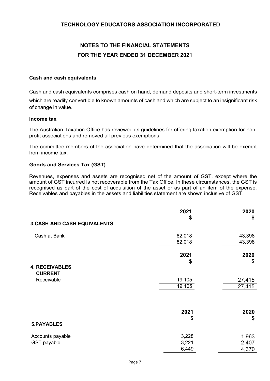# **NOTES TO THE FINANCIAL STATEMENTS FOR THE YEAR ENDED 31 DECEMBER 2021**

#### **Cash and cash equivalents**

Cash and cash equivalents comprises cash on hand, demand deposits and short-term investments which are readily convertible to known amounts of cash and which are subject to an insignificant risk of change in value.

#### **Income tax**

The Australian Taxation Office has reviewed its guidelines for offering taxation exemption for nonprofit associations and removed all previous exemptions.

The committee members of the association have determined that the association will be exempt from income tax.

#### **Goods and Services Tax (GST)**

Revenues, expenses and assets are recognised net of the amount of GST, except where the amount of GST incurred is not recoverable from the Tax Office. In these circumstances, the GST is recognised as part of the cost of acquisition of the asset or as part of an item of the expense. Receivables and payables in the assets and liabilities statement are shown inclusive of GST.

|                                         | 2021   | 2020   |
|-----------------------------------------|--------|--------|
|                                         | \$     | \$     |
| <b>3.CASH AND CASH EQUIVALENTS</b>      |        |        |
| Cash at Bank                            | 82,018 | 43,398 |
|                                         | 82,018 | 43,398 |
|                                         | 2021   | 2020   |
|                                         | \$     | \$     |
| <b>4. RECEIVABLES</b><br><b>CURRENT</b> |        |        |
| Receivable                              | 19,105 | 27,415 |
|                                         | 19,105 | 27,415 |
|                                         |        |        |
|                                         | 2021   | 2020   |
|                                         | \$     | \$     |
| <b>5.PAYABLES</b>                       |        |        |
| Accounts payable                        | 3,228  | 1,963  |
| GST payable                             | 3,221  | 2,407  |
|                                         | 6,449  | 4,370  |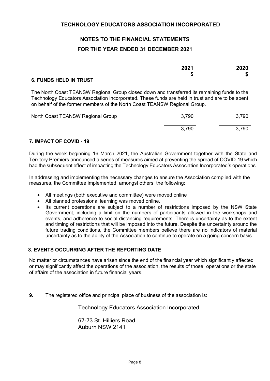# **NOTES TO THE FINANCIAL STATEMENTS FOR THE YEAR ENDED 31 DECEMBER 2021**

|                                | 2021 | 2020 |
|--------------------------------|------|------|
|                                |      | æ    |
| <b>C ELINDS UELD IN TOLICT</b> |      |      |

#### **6. FUNDS HELD IN TRUST**

The North Coast TEANSW Regional Group closed down and transferred its remaining funds to the Technology Educators Association incorporated. These funds are held in trust and are to be spent on behalf of the former members of the North Coast TEANSW Regional Group.

| North Coast TEANSW Regional Group | 3,790 | 3,790 |
|-----------------------------------|-------|-------|
|                                   | 3.790 | 3,790 |

## **7. IMPACT OF COVID - 19**

During the week beginning 16 March 2021, the Australian Government together with the State and Territory Premiers announced a series of measures aimed at preventing the spread of COVID-19 which had the subsequent effect of impacting the Technology Educators Association Incorporated's operations.

In addressing and implementing the necessary changes to ensure the Association complied with the measures, the Committee implemented, amongst others, the following:

- All meetings (both executive and committee) were moved online
- All planned professional learning was moved online.
- Its current operations are subject to a number of restrictions imposed by the NSW State Government, including a limit on the numbers of participants allowed in the workshops and events, and adherence to social distancing requirements. There is uncertainty as to the extent and timing of restrictions that will be imposed into the future. Despite the uncertainty around the future trading conditions, the Committee members believe there are no indicators of material uncertainty as to the ability of the Association to continue to operate on a going concern basis

## **8. EVENTS OCCURRING AFTER THE REPORTING DATE**

No matter or circumstances have arisen since the end of the financial year which significantly affected or may significantly affect the operations of the association, the results of those operations or the state of affairs of the association in future financial years.

**9.** The registered office and principal place of business of the association is:

Technology Educators Association Incorporated

67-73 St. Hilliers Road Auburn NSW 2141